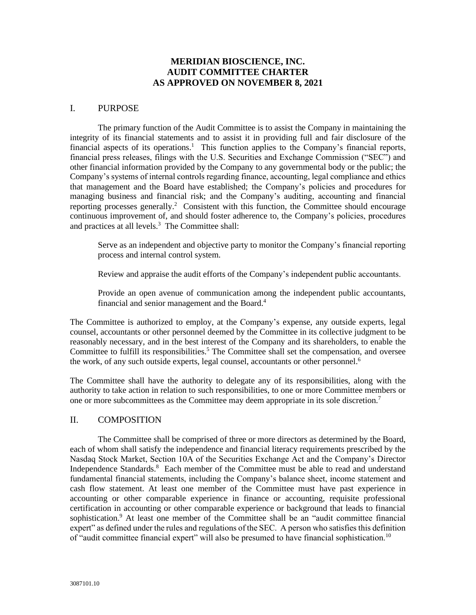## **MERIDIAN BIOSCIENCE, INC. AUDIT COMMITTEE CHARTER AS APPROVED ON NOVEMBER 8, 2021**

#### I. PURPOSE

The primary function of the Audit Committee is to assist the Company in maintaining the integrity of its financial statements and to assist it in providing full and fair disclosure of the financial aspects of its operations.<sup>1</sup> This function applies to the Company's financial reports, financial press releases, filings with the U.S. Securities and Exchange Commission ("SEC") and other financial information provided by the Company to any governmental body or the public; the Company's systems of internal controls regarding finance, accounting, legal compliance and ethics that management and the Board have established; the Company's policies and procedures for managing business and financial risk; and the Company's auditing, accounting and financial reporting processes generally.<sup>2</sup> Consistent with this function, the Committee should encourage continuous improvement of, and should foster adherence to, the Company's policies, procedures and practices at all levels.<sup>3</sup> The Committee shall:

Serve as an independent and objective party to monitor the Company's financial reporting process and internal control system.

Review and appraise the audit efforts of the Company's independent public accountants.

Provide an open avenue of communication among the independent public accountants, financial and senior management and the Board.<sup>4</sup>

The Committee is authorized to employ, at the Company's expense, any outside experts, legal counsel, accountants or other personnel deemed by the Committee in its collective judgment to be reasonably necessary, and in the best interest of the Company and its shareholders, to enable the Committee to fulfill its responsibilities.<sup>5</sup> The Committee shall set the compensation, and oversee the work, of any such outside experts, legal counsel, accountants or other personnel. 6

The Committee shall have the authority to delegate any of its responsibilities, along with the authority to take action in relation to such responsibilities, to one or more Committee members or one or more subcommittees as the Committee may deem appropriate in its sole discretion.<sup>7</sup>

### II. COMPOSITION

The Committee shall be comprised of three or more directors as determined by the Board, each of whom shall satisfy the independence and financial literacy requirements prescribed by the Nasdaq Stock Market, Section 10A of the Securities Exchange Act and the Company's Director Independence Standards.<sup>8</sup> Each member of the Committee must be able to read and understand fundamental financial statements, including the Company's balance sheet, income statement and cash flow statement. At least one member of the Committee must have past experience in accounting or other comparable experience in finance or accounting, requisite professional certification in accounting or other comparable experience or background that leads to financial sophistication.<sup>9</sup> At least one member of the Committee shall be an "audit committee financial expert" as defined under the rules and regulations of the SEC. A person who satisfies this definition of "audit committee financial expert" will also be presumed to have financial sophistication.10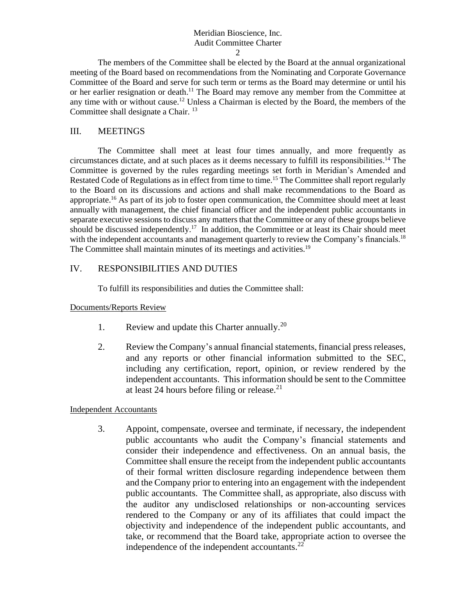#### Meridian Bioscience, Inc. Audit Committee Charter  $\mathfrak{D}$

The members of the Committee shall be elected by the Board at the annual organizational meeting of the Board based on recommendations from the Nominating and Corporate Governance Committee of the Board and serve for such term or terms as the Board may determine or until his or her earlier resignation or death.<sup>11</sup> The Board may remove any member from the Committee at any time with or without cause.<sup>12</sup> Unless a Chairman is elected by the Board, the members of the Committee shall designate a Chair. <sup>13</sup>

### III. MEETINGS

The Committee shall meet at least four times annually, and more frequently as circumstances dictate, and at such places as it deems necessary to fulfill its responsibilities. <sup>14</sup> The Committee is governed by the rules regarding meetings set forth in Meridian's Amended and Restated Code of Regulations as in effect from time to time.<sup>15</sup> The Committee shall report regularly to the Board on its discussions and actions and shall make recommendations to the Board as appropriate.<sup>16</sup> As part of its job to foster open communication, the Committee should meet at least annually with management, the chief financial officer and the independent public accountants in separate executive sessions to discuss any matters that the Committee or any of these groups believe should be discussed independently.<sup>17</sup> In addition, the Committee or at least its Chair should meet with the independent accountants and management quarterly to review the Company's financials.<sup>18</sup> The Committee shall maintain minutes of its meetings and activities.<sup>19</sup>

## IV. RESPONSIBILITIES AND DUTIES

To fulfill its responsibilities and duties the Committee shall:

### Documents/Reports Review

- 1. Review and update this Charter annually.<sup>20</sup>
- 2. Review the Company's annual financial statements, financial press releases, and any reports or other financial information submitted to the SEC, including any certification, report, opinion, or review rendered by the independent accountants. This information should be sent to the Committee at least 24 hours before filing or release. $^{21}$

### Independent Accountants

3. Appoint, compensate, oversee and terminate, if necessary, the independent public accountants who audit the Company's financial statements and consider their independence and effectiveness. On an annual basis, the Committee shall ensure the receipt from the independent public accountants of their formal written disclosure regarding independence between them and the Company prior to entering into an engagement with the independent public accountants. The Committee shall, as appropriate, also discuss with the auditor any undisclosed relationships or non-accounting services rendered to the Company or any of its affiliates that could impact the objectivity and independence of the independent public accountants, and take, or recommend that the Board take, appropriate action to oversee the independence of the independent accountants. $^{22}$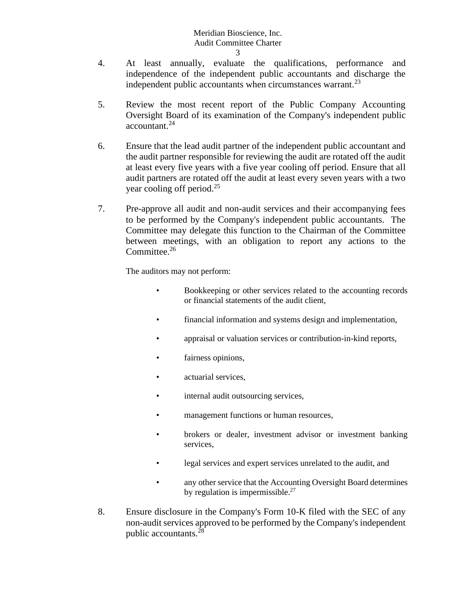- 3
- 4. At least annually, evaluate the qualifications, performance and independence of the independent public accountants and discharge the independent public accountants when circumstances warrant. $^{23}$
- 5. Review the most recent report of the Public Company Accounting Oversight Board of its examination of the Company's independent public accountant.<sup>24</sup>
- 6. Ensure that the lead audit partner of the independent public accountant and the audit partner responsible for reviewing the audit are rotated off the audit at least every five years with a five year cooling off period. Ensure that all audit partners are rotated off the audit at least every seven years with a two year cooling off period.<sup>25</sup>
- 7. Pre-approve all audit and non-audit services and their accompanying fees to be performed by the Company's independent public accountants. The Committee may delegate this function to the Chairman of the Committee between meetings, with an obligation to report any actions to the Committee.<sup>26</sup>

The auditors may not perform:

- Bookkeeping or other services related to the accounting records or financial statements of the audit client,
- financial information and systems design and implementation,
- appraisal or valuation services or contribution-in-kind reports,
- fairness opinions,
- actuarial services.
- internal audit outsourcing services,
- management functions or human resources,
- brokers or dealer, investment advisor or investment banking services,
- legal services and expert services unrelated to the audit, and
- any other service that the Accounting Oversight Board determines by regulation is impermissible. $27$
- 8. Ensure disclosure in the Company's Form 10-K filed with the SEC of any non-audit services approved to be performed by the Company's independent public accountants.<sup>28</sup>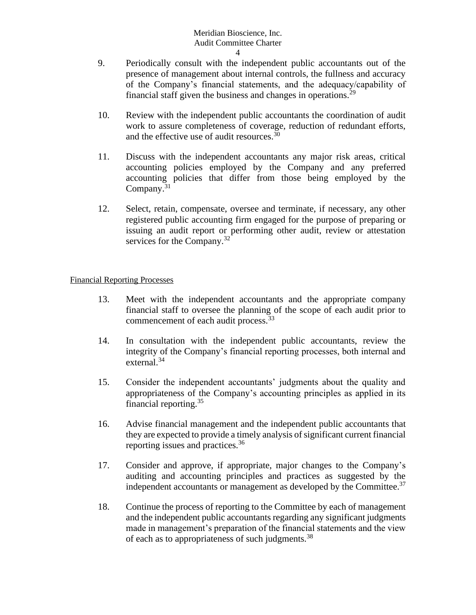- 4
- 9. Periodically consult with the independent public accountants out of the presence of management about internal controls, the fullness and accuracy of the Company's financial statements, and the adequacy/capability of financial staff given the business and changes in operations.<sup>29</sup>
- 10. Review with the independent public accountants the coordination of audit work to assure completeness of coverage, reduction of redundant efforts, and the effective use of audit resources.<sup>30</sup>
- 11. Discuss with the independent accountants any major risk areas, critical accounting policies employed by the Company and any preferred accounting policies that differ from those being employed by the Company.<sup>31</sup>
- 12. Select, retain, compensate, oversee and terminate, if necessary, any other registered public accounting firm engaged for the purpose of preparing or issuing an audit report or performing other audit, review or attestation services for the Company.<sup>32</sup>

## Financial Reporting Processes

- 13. Meet with the independent accountants and the appropriate company financial staff to oversee the planning of the scope of each audit prior to commencement of each audit process.<sup>33</sup>
- 14. In consultation with the independent public accountants, review the integrity of the Company's financial reporting processes, both internal and external. $34$
- 15. Consider the independent accountants' judgments about the quality and appropriateness of the Company's accounting principles as applied in its financial reporting.<sup>35</sup>
- 16. Advise financial management and the independent public accountants that they are expected to provide a timely analysis of significant current financial reporting issues and practices.<sup>36</sup>
- 17. Consider and approve, if appropriate, major changes to the Company's auditing and accounting principles and practices as suggested by the independent accountants or management as developed by the Committee.<sup>37</sup>
- 18. Continue the process of reporting to the Committee by each of management and the independent public accountants regarding any significant judgments made in management's preparation of the financial statements and the view of each as to appropriateness of such judgments.<sup>38</sup>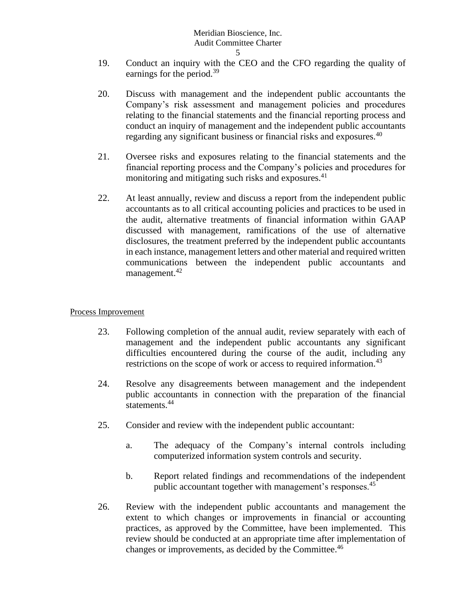- 5
- 19. Conduct an inquiry with the CEO and the CFO regarding the quality of earnings for the period.<sup>39</sup>
- 20. Discuss with management and the independent public accountants the Company's risk assessment and management policies and procedures relating to the financial statements and the financial reporting process and conduct an inquiry of management and the independent public accountants regarding any significant business or financial risks and exposures.<sup>40</sup>
- 21. Oversee risks and exposures relating to the financial statements and the financial reporting process and the Company's policies and procedures for monitoring and mitigating such risks and exposures.<sup>41</sup>
- 22. At least annually, review and discuss a report from the independent public accountants as to all critical accounting policies and practices to be used in the audit, alternative treatments of financial information within GAAP discussed with management, ramifications of the use of alternative disclosures, the treatment preferred by the independent public accountants in each instance, management letters and other material and required written communications between the independent public accountants and management.<sup>42</sup>

## Process Improvement

- 23. Following completion of the annual audit, review separately with each of management and the independent public accountants any significant difficulties encountered during the course of the audit, including any restrictions on the scope of work or access to required information.<sup>43</sup>
- 24. Resolve any disagreements between management and the independent public accountants in connection with the preparation of the financial statements.<sup>44</sup>
- 25. Consider and review with the independent public accountant:
	- a. The adequacy of the Company's internal controls including computerized information system controls and security.
	- b. Report related findings and recommendations of the independent public accountant together with management's responses.<sup>45</sup>
- 26. Review with the independent public accountants and management the extent to which changes or improvements in financial or accounting practices, as approved by the Committee, have been implemented. This review should be conducted at an appropriate time after implementation of changes or improvements, as decided by the Committee.<sup>46</sup>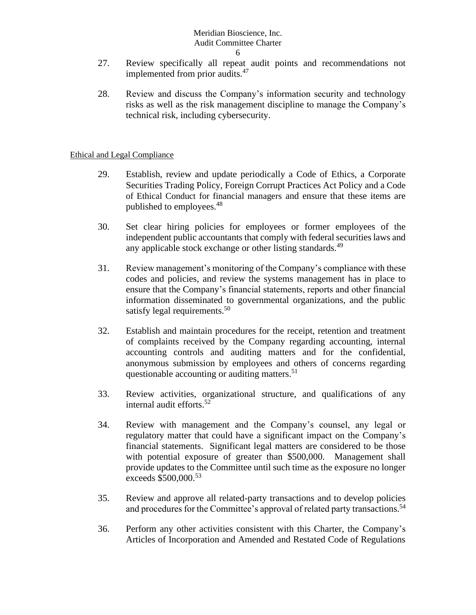- 6
- 27. Review specifically all repeat audit points and recommendations not implemented from prior audits.<sup>47</sup>
- 28. Review and discuss the Company's information security and technology risks as well as the risk management discipline to manage the Company's technical risk, including cybersecurity.

## Ethical and Legal Compliance

- 29. Establish, review and update periodically a Code of Ethics, a Corporate Securities Trading Policy, Foreign Corrupt Practices Act Policy and a Code of Ethical Conduct for financial managers and ensure that these items are published to employees.<sup>48</sup>
- 30. Set clear hiring policies for employees or former employees of the independent public accountants that comply with federal securities laws and any applicable stock exchange or other listing standards.<sup>49</sup>
- 31. Review management's monitoring of the Company's compliance with these codes and policies, and review the systems management has in place to ensure that the Company's financial statements, reports and other financial information disseminated to governmental organizations, and the public satisfy legal requirements.<sup>50</sup>
- 32. Establish and maintain procedures for the receipt, retention and treatment of complaints received by the Company regarding accounting, internal accounting controls and auditing matters and for the confidential, anonymous submission by employees and others of concerns regarding questionable accounting or auditing matters.<sup>51</sup>
- 33. Review activities, organizational structure, and qualifications of any internal audit efforts.<sup>52</sup>
- 34. Review with management and the Company's counsel, any legal or regulatory matter that could have a significant impact on the Company's financial statements. Significant legal matters are considered to be those with potential exposure of greater than \$500,000. Management shall provide updates to the Committee until such time as the exposure no longer exceeds \$500,000.<sup>53</sup>
- 35. Review and approve all related-party transactions and to develop policies and procedures for the Committee's approval of related party transactions.<sup>54</sup>
- 36. Perform any other activities consistent with this Charter, the Company's Articles of Incorporation and Amended and Restated Code of Regulations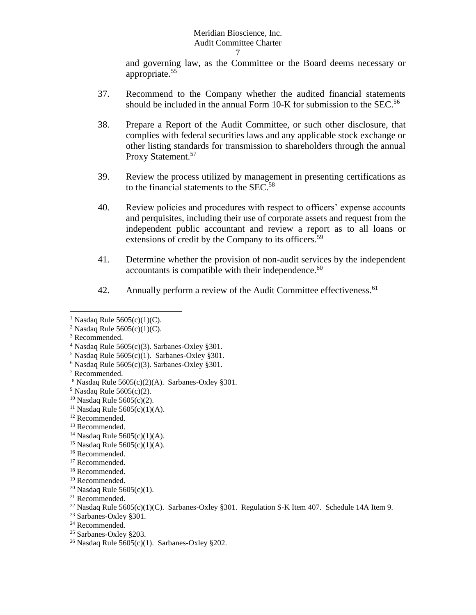and governing law, as the Committee or the Board deems necessary or appropriate.<sup>55</sup>

- 37. Recommend to the Company whether the audited financial statements should be included in the annual Form 10-K for submission to the SEC.<sup>56</sup>
- 38. Prepare a Report of the Audit Committee, or such other disclosure, that complies with federal securities laws and any applicable stock exchange or other listing standards for transmission to shareholders through the annual Proxy Statement.<sup>57</sup>
- 39. Review the process utilized by management in presenting certifications as to the financial statements to the SEC.<sup>58</sup>
- 40. Review policies and procedures with respect to officers' expense accounts and perquisites, including their use of corporate assets and request from the independent public accountant and review a report as to all loans or extensions of credit by the Company to its officers.<sup>59</sup>
- 41. Determine whether the provision of non-audit services by the independent accountants is compatible with their independence.<sup>60</sup>
- 42. Annually perform a review of the Audit Committee effectiveness.<sup>61</sup>

<sup>&</sup>lt;sup>1</sup> Nasdaq Rule  $5605(c)(1)(C)$ .

<sup>&</sup>lt;sup>2</sup> Nasdaq Rule  $5605(c)(1)(C)$ .

<sup>&</sup>lt;sup>3</sup> Recommended.

<sup>&</sup>lt;sup>4</sup> Nasdaq Rule  $5605(c)(3)$ . Sarbanes-Oxley §301.

 $5$  Nasdaq Rule  $5605(c)(1)$ . Sarbanes-Oxley §301.

 $6$  Nasdaq Rule 5605(c)(3). Sarbanes-Oxley §301.

<sup>7</sup> Recommended.

 $8$  Nasdaq Rule 5605(c)(2)(A). Sarbanes-Oxley §301.

 $9$  Nasdaq Rule 5605(c)(2).

<sup>&</sup>lt;sup>10</sup> Nasdaq Rule  $5605(c)(2)$ .

<sup>&</sup>lt;sup>11</sup> Nasdaq Rule  $5605(c)(1)(A)$ .

<sup>&</sup>lt;sup>12</sup> Recommended.

<sup>13</sup> Recommended.

<sup>&</sup>lt;sup>14</sup> Nasdaq Rule  $5605(c)(1)(A)$ .

<sup>15</sup> Nasdaq Rule 5605(c)(1)(A).

<sup>&</sup>lt;sup>16</sup> Recommended.

<sup>&</sup>lt;sup>17</sup> Recommended.

<sup>18</sup> Recommended.

<sup>19</sup> Recommended.

<sup>&</sup>lt;sup>20</sup> Nasdaq Rule  $5605(c)(1)$ .

 $21$  Recommended.

<sup>&</sup>lt;sup>22</sup> Nasdaq Rule 5605(c)(1)(C). Sarbanes-Oxley §301. Regulation S-K Item 407. Schedule 14A Item 9.

<sup>23</sup> Sarbanes-Oxley §301.

 $24$  Recommended.

<sup>25</sup> Sarbanes-Oxley §203.

<sup>&</sup>lt;sup>26</sup> Nasdaq Rule  $5605(c)(1)$ . Sarbanes-Oxley §202.